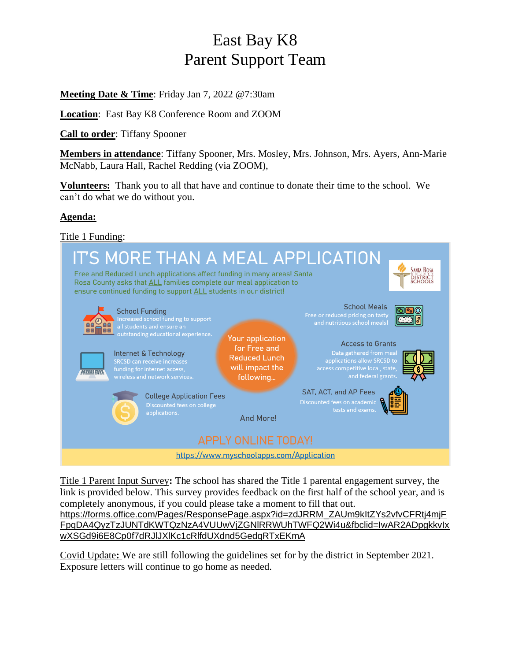## East Bay K8 Parent Support Team

**Meeting Date & Time**: Friday Jan 7, 2022 @7:30am

**Location**: East Bay K8 Conference Room and ZOOM

**Call to order**: Tiffany Spooner

**Members in attendance**: Tiffany Spooner, Mrs. Mosley, Mrs. Johnson, Mrs. Ayers, Ann-Marie McNabb, Laura Hall, Rachel Redding (via ZOOM),

**Volunteers:** Thank you to all that have and continue to donate their time to the school. We can't do what we do without you.

## **Agenda:**

Title 1 Funding:



Title 1 Parent Input Survey**:** The school has shared the Title 1 parental engagement survey, the link is provided below. This survey provides feedback on the first half of the school year, and is completely anonymous, if you could please take a moment to fill that out. [https://forms.office.com/Pages/ResponsePage.aspx?id=zdJRRM\\_ZAUm9kItZYs2vfvCFRtj4mjF](https://forms.office.com/Pages/ResponsePage.aspx?id=zdJRRM_ZAUm9kItZYs2vfvCFRtj4mjFFpqDA4QyzTzJUNTdKWTQzNzA4VUUwVjZGNlRRWUhTWFQ2Wi4u&fbclid=IwAR2ADpgkkvIxwXSGd9i6E8Cp0f7dRJlJXlKc1cRlfdUXdnd5GedqRTxEKmA) [FpqDA4QyzTzJUNTdKWTQzNzA4VUUwVjZGNlRRWUhTWFQ2Wi4u&fbclid=IwAR2ADpgkkvIx](https://forms.office.com/Pages/ResponsePage.aspx?id=zdJRRM_ZAUm9kItZYs2vfvCFRtj4mjFFpqDA4QyzTzJUNTdKWTQzNzA4VUUwVjZGNlRRWUhTWFQ2Wi4u&fbclid=IwAR2ADpgkkvIxwXSGd9i6E8Cp0f7dRJlJXlKc1cRlfdUXdnd5GedqRTxEKmA)

[wXSGd9i6E8Cp0f7dRJlJXlKc1cRlfdUXdnd5GedqRTxEKmA](https://forms.office.com/Pages/ResponsePage.aspx?id=zdJRRM_ZAUm9kItZYs2vfvCFRtj4mjFFpqDA4QyzTzJUNTdKWTQzNzA4VUUwVjZGNlRRWUhTWFQ2Wi4u&fbclid=IwAR2ADpgkkvIxwXSGd9i6E8Cp0f7dRJlJXlKc1cRlfdUXdnd5GedqRTxEKmA)

Covid Update**:** We are still following the guidelines set for by the district in September 2021. Exposure letters will continue to go home as needed.